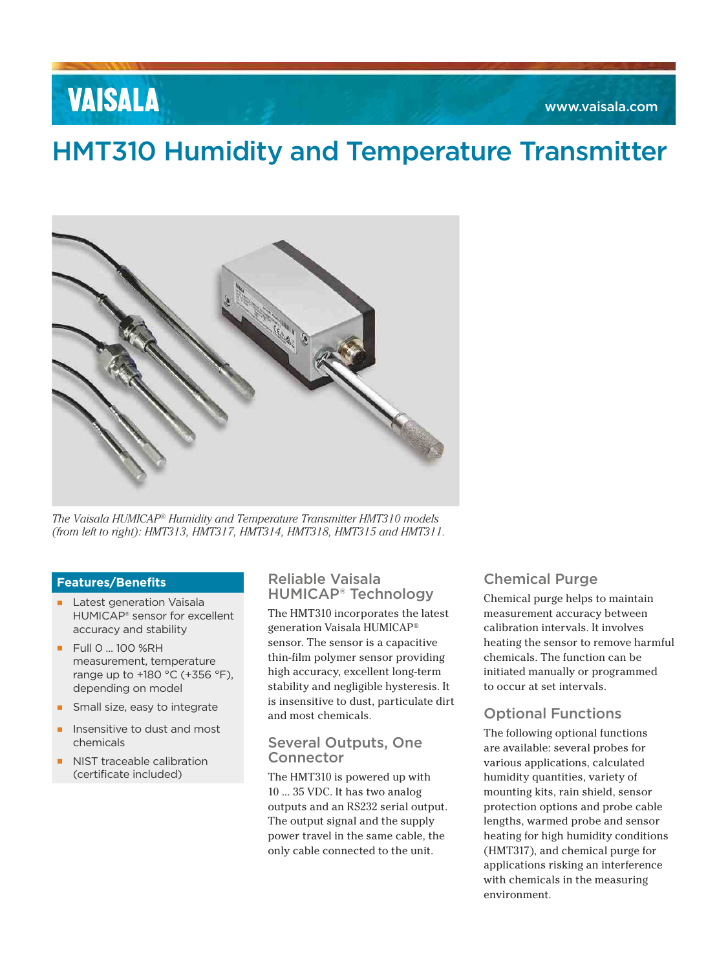# **VAISALA**

# HMT310 Humidity and Temperature Transmitter



*The Vaisala HUMICAP® Humidity and Temperature Transmitter HMT310 models (from left to right): HMT313, HMT317, HMT314, HMT318, HMT315 and HMT311.*

### **Features/Benefits**

- **▪** Latest generation Vaisala HUMICAP® sensor for excellent accuracy and stability
- **▪** Full 0 ... 100 %RH measurement, temperature range up to +180 °C (+356 °F), depending on model
- Small size, easy to integrate
- **▪** Insensitive to dust and most chemicals
- **NIST traceable calibration** (certificate included)

### Reliable Vaisala HUMICAP® Technology

The HMT310 incorporates the latest generation Vaisala HUMICAP® sensor. The sensor is a capacitive thin-film polymer sensor providing high accuracy, excellent long-term stability and negligible hysteresis. It is insensitive to dust, particulate dirt and most chemicals.

### Several Outputs, One Connector

The HMT310 is powered up with 10 ... 35 VDC. It has two analog outputs and an RS232 serial output. The output signal and the supply power travel in the same cable, the only cable connected to the unit.

# Chemical Purge

Chemical purge helps to maintain measurement accuracy between calibration intervals. It involves heating the sensor to remove harmful chemicals. The function can be initiated manually or programmed to occur at set intervals.

# Optional Functions

The following optional functions are available: several probes for various applications, calculated humidity quantities, variety of mounting kits, rain shield, sensor protection options and probe cable lengths, warmed probe and sensor heating for high humidity conditions (HMT317), and chemical purge for applications risking an interference with chemicals in the measuring environment.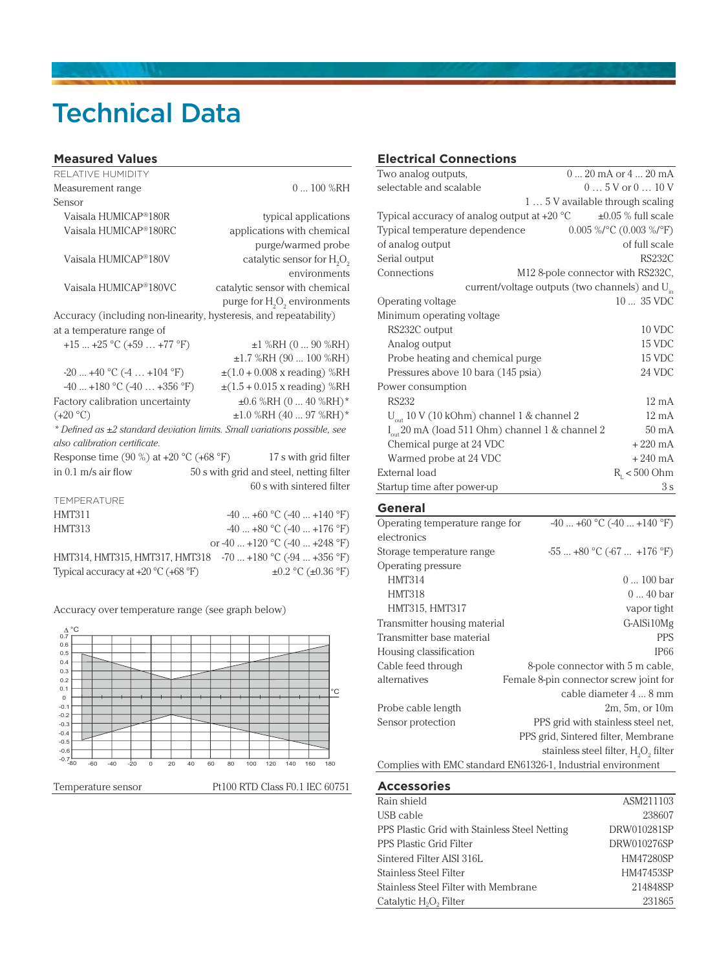# Technical Data

#### **Measured Values**

| RFI ATIVE HUMIDITY                                                        |                                                      |  |
|---------------------------------------------------------------------------|------------------------------------------------------|--|
| Measurement range                                                         | $0100\%$ RH                                          |  |
| Sensor                                                                    |                                                      |  |
| Vaisala HUMICAP®180R                                                      | typical applications                                 |  |
| Vaisala HUMICAP®180RC                                                     | applications with chemical                           |  |
|                                                                           | purge/warmed probe                                   |  |
| Vaisala HUMICAP®180V                                                      | catalytic sensor for H <sub>2</sub> O <sub>2</sub>   |  |
|                                                                           | environments                                         |  |
| Vaisala HUMICAP®180VC                                                     | catalytic sensor with chemical                       |  |
|                                                                           | purge for H <sub>2</sub> O <sub>2</sub> environments |  |
| Accuracy (including non-linearity, hysteresis, and repeatability)         |                                                      |  |
| at a temperature range of                                                 |                                                      |  |
| $+15+25$ °C (+59  +77 °F)                                                 | $\pm 1$ %RH (0  90 %RH)                              |  |
|                                                                           | $\pm 1.7$ %RH (90  100 %RH)                          |  |
| $-20+40$ °C $(-4+104$ °F)                                                 | $\pm(1.0 + 0.008 \text{ x reading})$ %RH             |  |
| $-40+180$ °C $(-40+356$ °F)                                               | $\pm(1.5 + 0.015 \times \text{reading})$ %RH         |  |
| Factory calibration uncertainty                                           | $\pm 0.6$ %RH (0  40 %RH)*                           |  |
| $(+20 °C)$                                                                | $\pm 1.0$ %RH (40  97 %RH)*                          |  |
| * Defined as ±2 standard deviation limits. Small variations possible, see |                                                      |  |
| also calibration certificate.                                             |                                                      |  |
| Response time $(90\%)$ at $+20\degree$ C $(+68\degree F)$                 | 17 s with grid filter                                |  |
| in $0.1$ m/s air flow                                                     | 50 s with grid and steel, netting filter             |  |
|                                                                           | 60 s with sintered filter                            |  |
| TEMPERATURE                                                               |                                                      |  |
| <b>HMT311</b>                                                             | $-40+60$ °C $(-40+140$ °F)                           |  |
| <b>HMT313</b>                                                             | $-40+80$ °C $(-40+176$ °F)                           |  |
|                                                                           | or -40  +120 °C (-40  +248 °F)                       |  |
| HMT314, HMT315, HMT317, HMT318                                            | $-70$ $+180$ °C ( $-94$ $+356$ °F)                   |  |
| Typical accuracy at +20 °C (+68 °F)                                       | $\pm 0.2$ °C ( $\pm 0.36$ °F)                        |  |

Accuracy over temperature range (see graph below)



### **Electrical Connections**

| Two analog outputs,                                                | $0 \dots 20$ mA or $4 \dots 20$ mA |  |
|--------------------------------------------------------------------|------------------------------------|--|
| selectable and scalable                                            | $05V$ or $010V$                    |  |
|                                                                    | 1 5 V available through scaling    |  |
| Typical accuracy of analog output at $+20\text{ }^{\circ}\text{C}$ | $\pm 0.05$ % full scale            |  |
| Typical temperature dependence                                     | $0.005\%$ /°C (0.003 %/°F)         |  |
| of analog output                                                   | of full scale                      |  |
| Serial output                                                      | <b>RS232C</b>                      |  |
| Connections                                                        | M12 8-pole connector with RS232C,  |  |
| current/voltage outputs (two channels) and $U_{in}$                |                                    |  |
| Operating voltage                                                  | $1035$ VDC                         |  |
| Minimum operating voltage                                          |                                    |  |
| RS232C output                                                      | 10 VDC                             |  |
| Analog output                                                      | 15 VDC                             |  |
| Probe heating and chemical purge                                   | 15 VDC                             |  |
| Pressures above 10 bara (145 psia)                                 | 24 VDC                             |  |
| Power consumption                                                  |                                    |  |
| <b>RS232</b>                                                       | $12 \text{ mA}$                    |  |
| $U_{\text{out}}$ 10 V (10 kOhm) channel 1 & channel 2              | $12 \text{ mA}$                    |  |
| $I_{out}$ 20 mA (load 511 Ohm) channel 1 & channel 2               | $50 \text{ mA}$                    |  |
| Chemical purge at 24 VDC                                           | $+220 \text{ mA}$                  |  |
| Warmed probe at 24 VDC                                             | $+240$ mA                          |  |
| External load                                                      | $R_{1}$ < 500 Ohm                  |  |
| Startup time after power-up                                        | 3s                                 |  |

### **General**

| Operating temperature range for                              | $-40+60$ °C $(-40+140$ °F)              |  |
|--------------------------------------------------------------|-----------------------------------------|--|
| electronics                                                  |                                         |  |
| Storage temperature range                                    | $-55+80$ °C $(-67+176$ °F)              |  |
| Operating pressure                                           |                                         |  |
| <b>HMT314</b>                                                | $0100$ bar                              |  |
| <b>HMT318</b>                                                | $0 \dots 40$ bar                        |  |
| HMT315, HMT317                                               | vapor tight                             |  |
| Transmitter housing material                                 | G-AlSi10Mg                              |  |
| Transmitter base material                                    | <b>PPS</b>                              |  |
| Housing classification                                       | <b>IP66</b>                             |  |
| Cable feed through                                           | 8-pole connector with 5 m cable,        |  |
| alternatives                                                 | Female 8-pin connector screw joint for  |  |
|                                                              | cable diameter 4  8 mm                  |  |
| Probe cable length                                           | 2m, 5m, or 10m                          |  |
| Sensor protection                                            | PPS grid with stainless steel net,      |  |
|                                                              | PPS grid, Sintered filter, Membrane     |  |
|                                                              | stainless steel filter, $H_2O_2$ filter |  |
| Complies with EMC standard EN61326-1, Industrial environment |                                         |  |

#### **Accessories**

| Rain shield                                    | ASM211103        |
|------------------------------------------------|------------------|
| USB cable                                      | 238607           |
| PPS Plastic Grid with Stainless Steel Netting  | DRW010281SP      |
| PPS Plastic Grid Filter                        | DRW010276SP      |
| Sintered Filter AISI 316L                      | <b>HM47280SP</b> |
| Stainless Steel Filter                         | HM47453SP        |
| Stainless Steel Filter with Membrane           | 214848SP         |
| Catalytic H <sub>2</sub> O <sub>2</sub> Filter | 231865           |